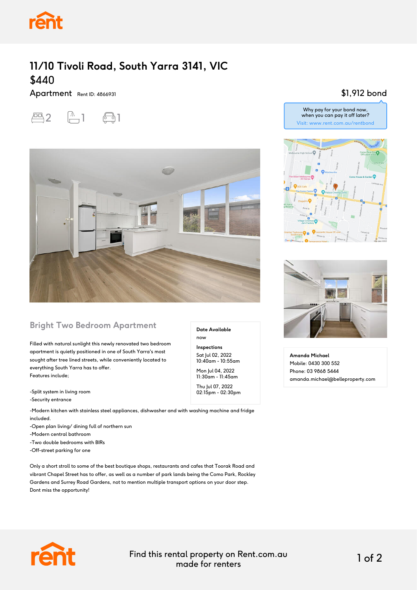

## **11/10 Tivoli Road, South Yarra 3141, VIC** \$440

Apartment Rent ID: 4866931





#### **Bright Two Bedroom Apartment**

Filled with natural sunlight this newly renovated two bedroom apartment is quietly positioned in one of South Yarra's most sought after tree lined streets, while conveniently located to everything South Yarra has to offer. Features include;

-Split system in living room

-Security entrance

-Modern kitchen with stainless steel appliances, dishwasher and with washing machine and fridge included.

-Open plan living/ dining full of northern sun

-Modern central bathroom

-Two double bedrooms with BIRs

-Off-street parking for one

Only a short stroll to some of the best boutique shops, restaurants and cafes that Toorak Road and vibrant Chapel Street has to offer, as well as a number of park lands being the Como Park, Rockley Gardens and Surrey Road Gardens, not to mention multiple transport options on your door step. Dont miss the opportunity!

#### \$1,912 bond







**Amanda Michael** Mobile: 0430 300 552 Phone: 03 9868 5444 amanda.michael@belleproperty.com



**Date Available**

now **Inspections** Sat Jul 02, 2022 10:40am - 10:55am Mon Jul 04, 2022 11:30am - 11:45am Thu Jul 07, 2022 02:15pm - 02:30pm